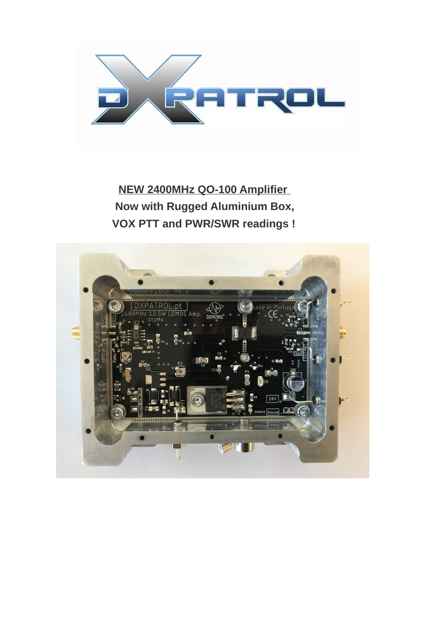

 **NEW 2400MHz QO-100 Amplifier Now with Rugged Aluminium Box, VOX PTT and PWR/SWR readings !**

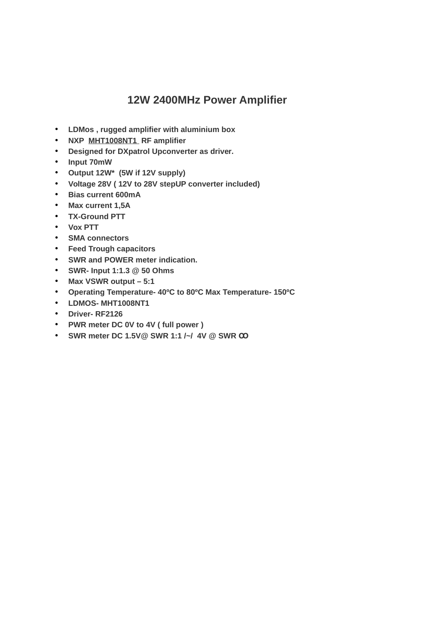## **12W 2400MHz Power Amplifier**

- **LDMos , rugged amplifier with aluminium box**
- **NXP MHT1008NT1 RF amplifier**
- **Designed for DXpatrol Upconverter as driver.**
- **Input 70mW**
- **Output 12W\* (5W if 12V supply)**
- **Voltage 28V ( 12V to 28V stepUP converter included)**
- **Bias current 600mA**
- **Max current 1,5A**
- **TX-Ground PTT**
- **Vox PTT**
- **SMA connectors**
- **Feed Trough capacitors**
- **SWR and POWER meter indication.**
- **SWR- Input 1:1.3 @ 50 Ohms**
- **Max VSWR output 5:1**
- **Operating Temperature- 40ºC to 80ºC Max Temperature- 150ºC**
- **LDMOS- MHT1008NT1**
- **Driver- RF2126**
- **PWR meter DC 0V to 4V ( full power )**
- SWR meter DC 1.5V@ SWR 1:1 /~/ 4V @ SWR **CO**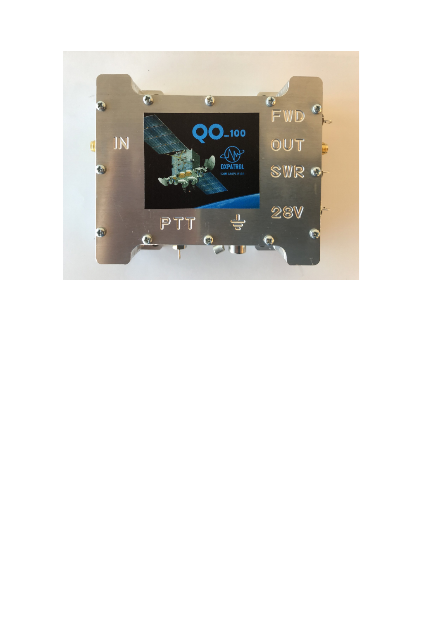